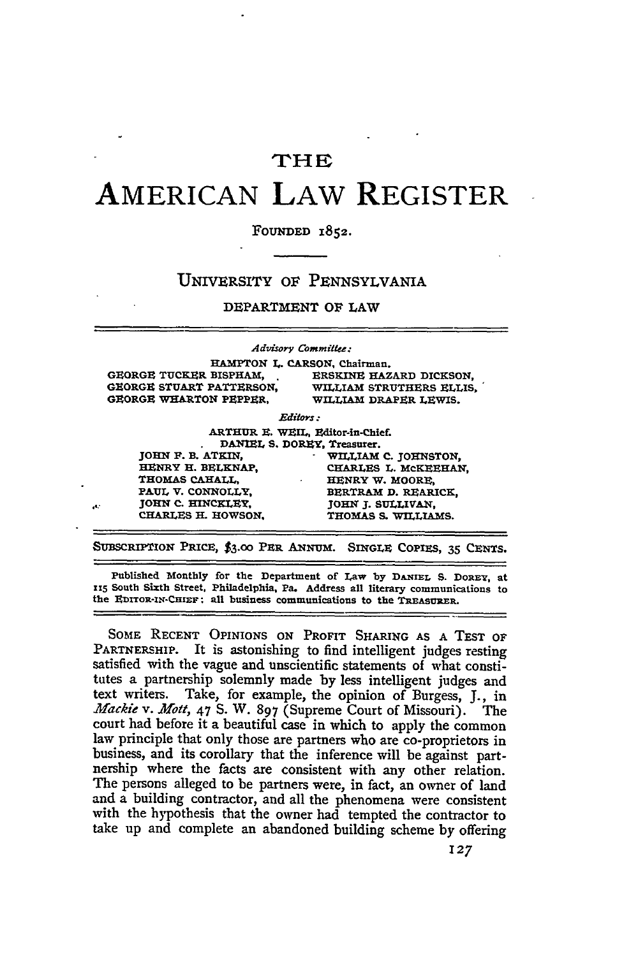## **TH**

## **AMERICAN LAW REGISTER**

## FOUNDED 1852.

## **UNIVERSITY OF PENNSYLVANIA**

DEPARTMENT OF LAW

|     |                               | Advisory Committee:                                            |
|-----|-------------------------------|----------------------------------------------------------------|
|     |                               | HAMPTON L. CARSON, Chairman.                                   |
|     | <b>GEORGE TUCKER BISPHAM.</b> | ERSKINE HAZARD DICKSON.                                        |
|     | GEORGE STUART PATTERSON.      | WILLIAM STRUTHERS ELLIS.                                       |
|     | GEORGE WHARTON PEPPER.        | WILLIAM DRAPER LEWIS.                                          |
|     |                               | <b>Editors</b>                                                 |
|     |                               | ARTHUR E. WEIL, Editor-in-Chief.                               |
|     |                               | DANIEL S. DOREY, Treasurer.                                    |
|     | JOHN F. B. ATKIN.             | WILLIAM C. JOHNSTON,                                           |
|     | <b>HENRY H. BELKNAP.</b>      | CHARLES L. MCKEEHAN.                                           |
|     | <b>THOMAS CAHALL.</b>         | HENRY W. MOORE.                                                |
|     | PAUL V. CONNOLLY.             | BERTRAM D. REARICK.                                            |
| ek. | JOHN C. HINCKLEY.             | JOHN J. SULLIVAN.                                              |
|     | CHARLES H. HOWSON.            | THOMAS S. WILLIAMS.                                            |
|     |                               | SUBSCRIPTION PRICE, \$3.00 PER ANNUM. SINGLE COPIES, 35 CENTS. |

**Published Monthly for the Department** of **Law by DIANIEL S. DOREY, at <sup>115</sup>South Sixth Street, Philadelphia, Pa. Address all literary communications to** the EDITOR-IN-CHIEF: all business communications to the TREASURER.

**SOME RECENT OPINIONS ON** PROFIT SHARING **AS A TEST OF PARTNERSHIP.** It is astonishing to find intelligent judges resting satisfied with the vague and unscientific statements of what constitutes a partnership solemnly made by less intelligent judges and text writers. Take, for example, the opinion of Burgess, J., in *Afackie v. Mott,* 47 **S.** W. **897** (Supreme Court of Missouri). The court had before it a beautiful case in which to apply the common law principle that only those are partners who are co-proprietors in business, and its corollary that the inference will be against partnership where the facts are consistent with any other relation. The persons alleged to be partners were, in fact, an owner of land and a building contractor, and all the phenomena were consistent with the hypothesis that the owner had tempted the contractor to take up and complete an abandoned building scheme by offering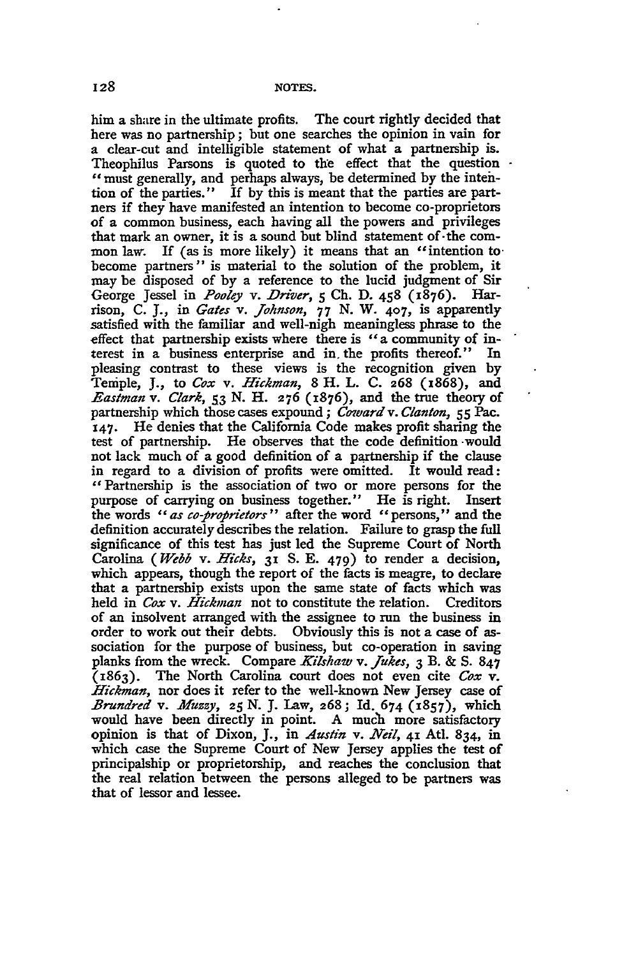him a share in the ultimate profits. The court rightly decided that here was no partnership; but one searches the opinion in vain for a clear-cut and intelligible statement of what a partnership is. Theophilus Parsons is quoted to the effect that the question . "must generally, and perhaps always, be determined by the intention of the parties." **If** by this is meant that the parties are partners if they have manifested an intention to become co-proprietors of a common business, each having all the powers and privileges that mark an owner, it is a sound but blind statement of. the common law. If (as is more likely) it means that an "intention to become partners" is material to the solution of the problem, it may be disposed of by a reference to the lucid judgment of Sir<br>George Jessel in *Poolev v. Driver.* 5 Ch. D. 458 (1876). Har-George Jessel in *Pooley v. Driver*, 5 Ch. D. 458 (1876). rison, C. J., in *Gates v. Johnson, 77* N. W. **407,** is apparently satisfied with the familiar and well-nigh meaningless phrase to the effect that partnership exists where there is "a community of interest in a business enterprise and in. the profits thereof." In pleasing contrast to these views is the recognition given by Temple, J., to *Cox v. Hickman,* 8 H. L. C. **268** (1868), and *Eastman v. Clark, 53* N. H. **276** (1876), and the true theory of partnership which those cases expound; *Coward v. Clanton*, *55 Pac.* **147.** He denies that the California Code makes profit sharing the test of partnership. He observes that the code definition -would not lack much of a good definition of a partnership if the clause in regard to a division of profits were omitted. It would read: "Partnership is the association of two or more persons for the purpose of carrying on business together." He is right. Insert the words *"as co-propiietors"* after the word "persons," and the definition accurately describes the relation. Failure to grasp the full significance of this test has just led the Supreme Court of North Carolina *(Webb* v. *Hicks,* **31** S. **E.** 479) to render a decision, which appears, though the report of the facts is meagre, to declare that a partnership exists upon the same state of facts which was held in *Cox v. Hickman* not to constitute the relation. Creditors of an insolvent arranged with the assignee to run the business in order to work out their debts. Obviously this is not a case of association for the purpose of business, but co-operation in saving planks from the wreck. Compare *Kilshaw v. Jukes,* **3** B. & **S. 847** (1863). The North Carolina court does not even cite *Cox v. Hickman,* nor does it refer to the well-known New Jersey case of *Brundred v. Afuzzy, 25* N. **J.** Law, **268;** Id. 674 **(1857),** which would have been directly in point. A much more satisfactory opinion is that of Dixon, J., in *Austin* v. *Neil,* **41** Atl. 834, in which case the Supreme Court of New Jersey applies the test of principalship or proprietorship, and reaches the conclusion that the real relation between the persons alleged to be partners was that of lessor and lessee.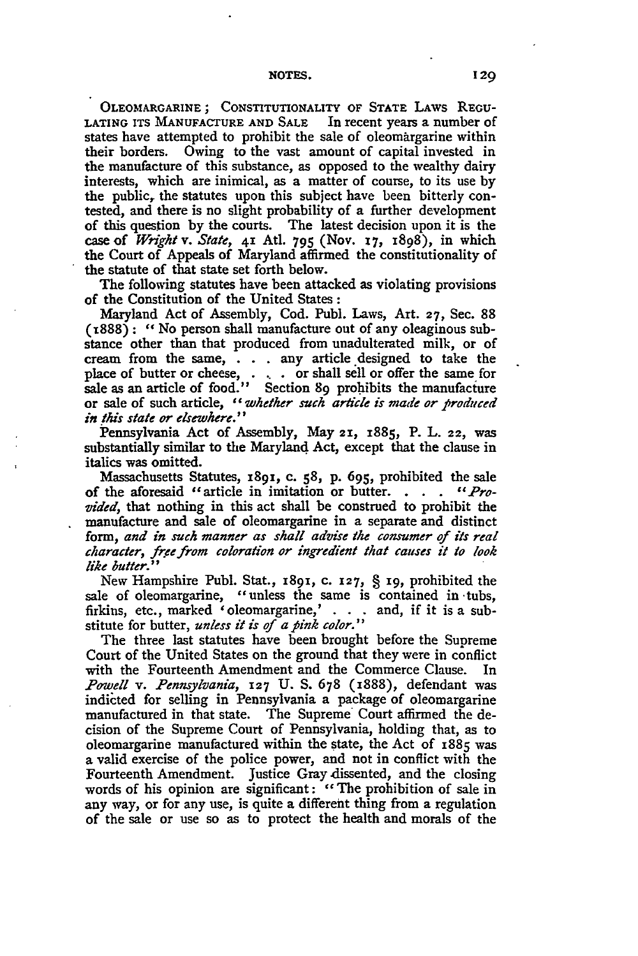OLEOMARGARINE **;** CONSTITUTIONALITY OF **STATE** LAWS **REGU-LATING ITS** MANUFACTURE **AND** SALE In recent years a number of states have attempted to prohibit the sale of oleomargarine within their borders. Owing to the vast amount of capital invested in the manufacture of this substance, as opposed to the wealthy dairy interests, which are inimical, as a matter of course, to its use **by** the public, the statutes upon this subject have been bitterly contested, and there is no slight probability of a further development of this question **by** the courts. The latest decision upon it is the case of *W nght* v. *State,* **41 Atl. 795** (Nov. **17,** 1898), in which the Court of Appeals of Maryland affirmed the constitutionality of the statute of that state set forth below.

The following statutes have been attacked as violating provisions of the Constitution of the United States **:**

Maryland Act of Assembly, Cod. Publ. Laws, Art. **27,** Sec. **88 (z888):** *"No* person shall manufacture out of any oleaginous substance other than that produced from unadulterated milk, or of cream from the same, **.** . **.** any article designed to take the place of butter or cheese, **. .. .** or shall sell or offer the same for sale as an article of food." Section **89** prohibits the manufacture or sale of such article, *"whether such aricle is made or produced in this state or elsewhere."*

Pennsylvania Act of Assembly, May **21,** 1885, P. L. **22,** was substantially similar to the Maryland Act, except that the clause in italics was omitted.

Massachusetts Statutes, x891, c. **58,** p. 695, prohibited the sale of the aforesaid "article in imitation or butter. **.** . . *"Provided,* that nothing in this act shall be construed to prohibit the manufacture and sale of oleomargarine in a separate and distinct form, *and in such manner as shall advise the consumer of its real character, free from coloration or ingredient that causes it to look like butter."*

New Hampshire Publ. Stat., **1891,** c. **127,** § **19,** prohibited the sale of oleomargarine, "unless the same is contained in tubs. firkins, etc., marked 'oleomargarine,' . . . and, if it is a substitute for butter, *unless it is of a piink color."*

The three last statutes have been brought before the Supreme Court of the United States on the ground that they were in conflict with the Fourteenth Amendment and the Commerce Clause. In *Powell v. Pennsylvania,* **127** U. **S. 678** (1888), defendant was indicted for selling in Pennsylvania a package of oleomargarine manufactured in that state. The Supreme Court affirmed the decision of the Supreme Court of Pennsylvania, holding that, as to oleomargarine manufactured within the state, the Act of i885 was a valid exercise of the police power, and not in conflict with the Fourteenth Amendment. Justice Gray dissented, and the closing words of his opinion are significant: "The prohibition of sale in any way, or for any use, is quite a different thing from a regulation of the sale or use so as to protect the health and morals of the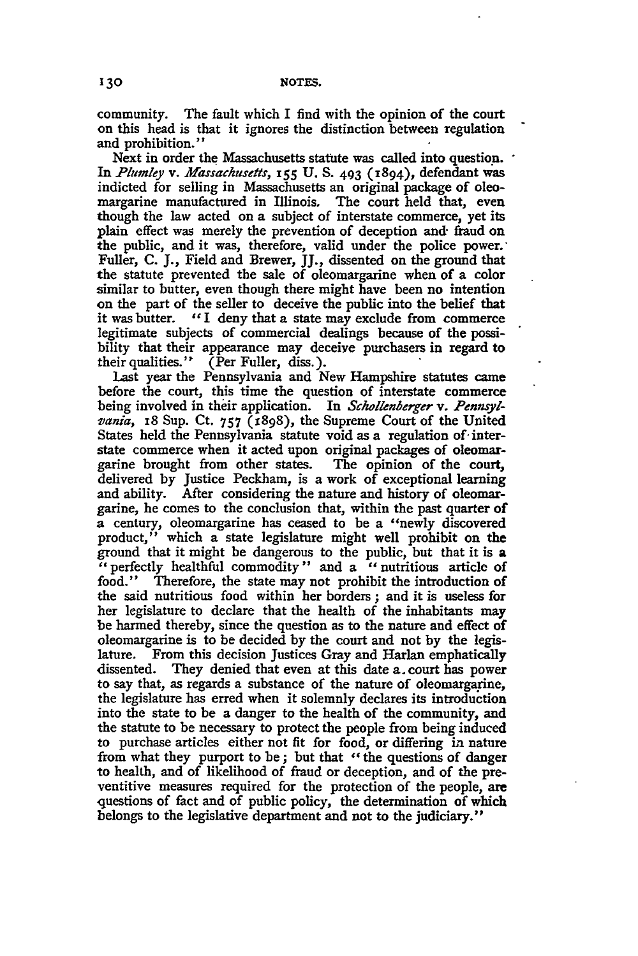community. The fault which I find with the opinion of the court on this head is that it ignores the distinction between regulation and prohibition."

Next in order the Massachusetts statute was called into question. In *Plumley v. Afassachusefis,* **155 U. S. 493** (1894), defendant was indicted for selling in Massachusetts an original package of oleomargarine manufactured in Illinois. The court held that, even though the law acted on a subject of interstate commerce, yet its plain effect was merely the prevention of deception and- fraud on the public, and it was, therefore, valid under the police power. Fuller, **C.** J., Field and Brewer, JJ., dissented on the ground that the statute prevented the sale of oleomargarine when of a color similar to butter, even though there might have been no intention on the part of the seller to deceive the public into the belief that it was butter. "I deny that a state may exclude from commerce legitimate subjects of commercial dealings because of the possibility that their appearance may deceive purchasers in regard to their qualities."  $\bar{C}$  Per Fuller, diss.).

Last year the Pennsylvania and New Hampshire statutes **came** before the court, this time the question of interstate commerce being involved in their application. In *Schollenberger v. Pennsyl*vania, 18 Sup. Ct. 757 (1898), the Supreme Court of the United States held the Pennsylvania statute void as a regulation of-interstate commerce when it acted upon original packages of oleomargarine brought from other states. The opinion of the court, delivered **by** Justice Peckham, is a work of exceptional learning and ability. After considering the nature and history of oleomargarine, he comes to the conclusion that, within the past quarter of a century, oleomargarine has ceased to be a "newly discovered product," which a state legislature might well prohibit on the ground that it might be dangerous to the public, but that it is a "perfectly healthful commodity" and a "nutritious article of food." Therefore, the state may not prohibit the introduction of the said nutritious food within her borders **;** and it is useless for her legislature to declare that the health of the inhabitants may be harmed thereby, since the question as to the nature and effect of oleomargarine is to be decided by the court and not by the legislature. From this decision Justices Gray and Harlan emphatically dissented. They denied that even at this date a. court has power to say that, as regards a substance of the nature of oleomargarine, the legislature has erred when it solemnly declares its introduction into the state to be a danger to the health of the community, and the statute to be necessary to protect the people from being induced to purchase articles either not fit for food, or differing in nature from what they purport to be; but that "the questions of danger to health, and of likelihood of fraud or deception, and of the preventitive measures required for the protection of the people, are questions of fact and of public policy, the determination of which belongs to the legislative department and not to the judiciary."